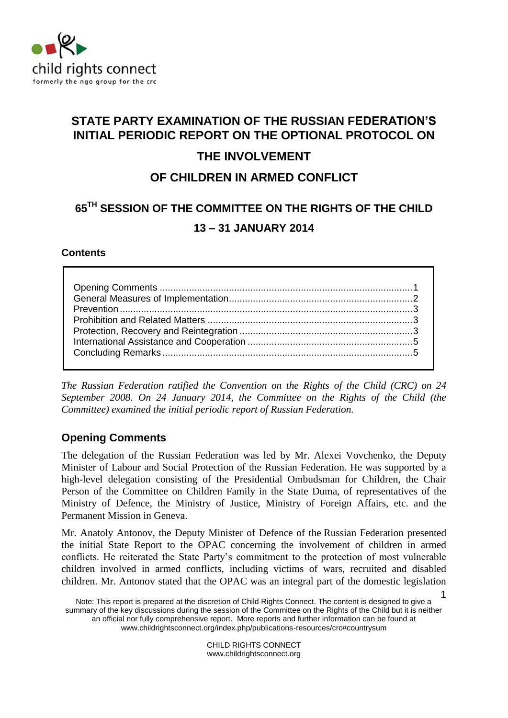

# **STATE PARTY EXAMINATION OF THE RUSSIAN FEDERATION'S INITIAL PERIODIC REPORT ON THE OPTIONAL PROTOCOL ON**

# **THE INVOLVEMENT**

# **OF CHILDREN IN ARMED CONFLICT**

# **65TH SESSION OF THE COMMITTEE ON THE RIGHTS OF THE CHILD 13 – 31 JANUARY 2014**

## **Contents**

*The Russian Federation ratified the Convention on the Rights of the Child (CRC) on 24 September 2008. On 24 January 2014, the Committee on the Rights of the Child (the Committee) examined the initial periodic report of Russian Federation.* 

# <span id="page-0-0"></span>**Opening Comments**

The delegation of the Russian Federation was led by Mr. Alexei Vovchenko, the Deputy Minister of Labour and Social Protection of the Russian Federation. He was supported by a high-level delegation consisting of the Presidential Ombudsman for Children, the Chair Person of the Committee on Children Family in the State Duma, of representatives of the Ministry of Defence, the Ministry of Justice, Ministry of Foreign Affairs, etc. and the Permanent Mission in Geneva.

Mr. Anatoly Antonov, the Deputy Minister of Defence of the Russian Federation presented the initial State Report to the OPAC concerning the involvement of children in armed conflicts. He reiterated the State Party's commitment to the protection of most vulnerable children involved in armed conflicts, including victims of wars, recruited and disabled children. Mr. Antonov stated that the OPAC was an integral part of the domestic legislation

CHILD RIGHTS CONNECT www.childrightsconnect.org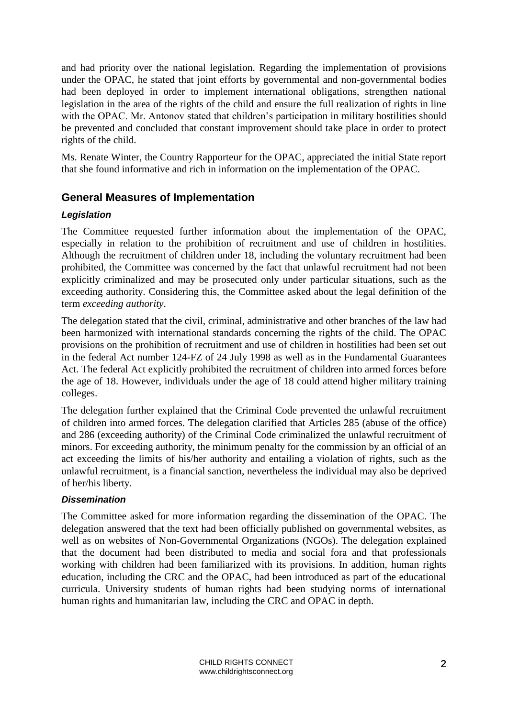and had priority over the national legislation. Regarding the implementation of provisions under the OPAC, he stated that joint efforts by governmental and non-governmental bodies had been deployed in order to implement international obligations, strengthen national legislation in the area of the rights of the child and ensure the full realization of rights in line with the OPAC. Mr. Antonov stated that children's participation in military hostilities should be prevented and concluded that constant improvement should take place in order to protect rights of the child.

Ms. Renate Winter, the Country Rapporteur for the OPAC, appreciated the initial State report that she found informative and rich in information on the implementation of the OPAC.

## <span id="page-1-0"></span>**General Measures of Implementation**

#### *Legislation*

The Committee requested further information about the implementation of the OPAC, especially in relation to the prohibition of recruitment and use of children in hostilities. Although the recruitment of children under 18, including the voluntary recruitment had been prohibited, the Committee was concerned by the fact that unlawful recruitment had not been explicitly criminalized and may be prosecuted only under particular situations, such as the exceeding authority. Considering this, the Committee asked about the legal definition of the term *exceeding authority*.

The delegation stated that the civil, criminal, administrative and other branches of the law had been harmonized with international standards concerning the rights of the child. The OPAC provisions on the prohibition of recruitment and use of children in hostilities had been set out in the federal Act number 124-FZ of 24 July 1998 as well as in the Fundamental Guarantees Act. The federal Act explicitly prohibited the recruitment of children into armed forces before the age of 18. However, individuals under the age of 18 could attend higher military training colleges.

The delegation further explained that the Criminal Code prevented the unlawful recruitment of children into armed forces. The delegation clarified that Articles 285 (abuse of the office) and 286 (exceeding authority) of the Criminal Code criminalized the unlawful recruitment of minors. For exceeding authority, the minimum penalty for the commission by an official of an act exceeding the limits of his/her authority and entailing a violation of rights, such as the unlawful recruitment, is a financial sanction, nevertheless the individual may also be deprived of her/his liberty.

#### *Dissemination*

<span id="page-1-1"></span>The Committee asked for more information regarding the dissemination of the OPAC. The delegation answered that the text had been officially published on governmental websites, as well as on websites of Non-Governmental Organizations (NGOs). The delegation explained that the document had been distributed to media and social fora and that professionals working with children had been familiarized with its provisions. In addition, human rights education, including the CRC and the OPAC, had been introduced as part of the educational curricula. University students of human rights had been studying norms of international human rights and humanitarian law, including the CRC and OPAC in depth.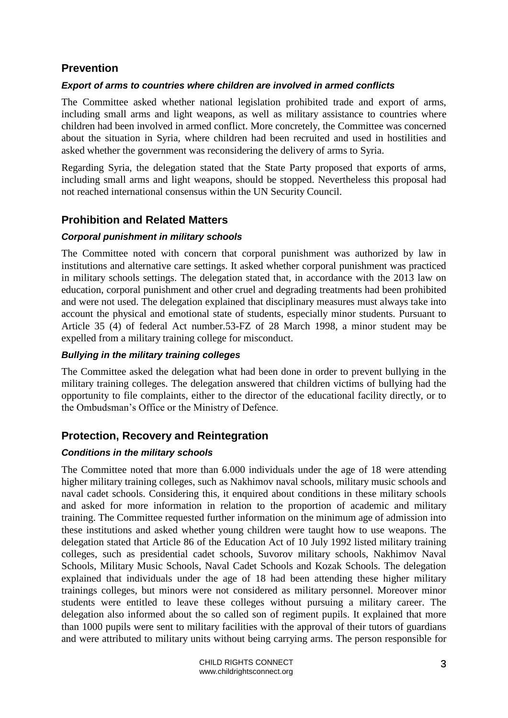## **Prevention**

### *Export of arms to countries where children are involved in armed conflicts*

The Committee asked whether national legislation prohibited trade and export of arms, including small arms and light weapons, as well as military assistance to countries where children had been involved in armed conflict. More concretely, the Committee was concerned about the situation in Syria, where children had been recruited and used in hostilities and asked whether the government was reconsidering the delivery of arms to Syria.

Regarding Syria, the delegation stated that the State Party proposed that exports of arms, including small arms and light weapons, should be stopped. Nevertheless this proposal had not reached international consensus within the UN Security Council.

# <span id="page-2-0"></span>**Prohibition and Related Matters**

#### *Corporal punishment in military schools*

The Committee noted with concern that corporal punishment was authorized by law in institutions and alternative care settings. It asked whether corporal punishment was practiced in military schools settings. The delegation stated that, in accordance with the 2013 law on education, corporal punishment and other cruel and degrading treatments had been prohibited and were not used. The delegation explained that disciplinary measures must always take into account the physical and emotional state of students, especially minor students. Pursuant to Article 35 (4) of federal Act number.53-FZ of 28 March 1998, a minor student may be expelled from a military training college for misconduct.

## *Bullying in the military training colleges*

The Committee asked the delegation what had been done in order to prevent bullying in the military training colleges. The delegation answered that children victims of bullying had the opportunity to file complaints, either to the director of the educational facility directly, or to the Ombudsman's Office or the Ministry of Defence.

# <span id="page-2-1"></span>**Protection, Recovery and Reintegration**

#### *Conditions in the military schools*

The Committee noted that more than 6.000 individuals under the age of 18 were attending higher military training colleges, such as Nakhimov naval schools, military music schools and naval cadet schools. Considering this, it enquired about conditions in these military schools and asked for more information in relation to the proportion of academic and military training. The Committee requested further information on the minimum age of admission into these institutions and asked whether young children were taught how to use weapons. The delegation stated that Article 86 of the Education Act of 10 July 1992 listed military training colleges, such as presidential cadet schools, Suvorov military schools, Nakhimov Naval Schools, Military Music Schools, Naval Cadet Schools and Kozak Schools. The delegation explained that individuals under the age of 18 had been attending these higher military trainings colleges, but minors were not considered as military personnel. Moreover minor students were entitled to leave these colleges without pursuing a military career. The delegation also informed about the so called son of regiment pupils. It explained that more than 1000 pupils were sent to military facilities with the approval of their tutors of guardians and were attributed to military units without being carrying arms. The person responsible for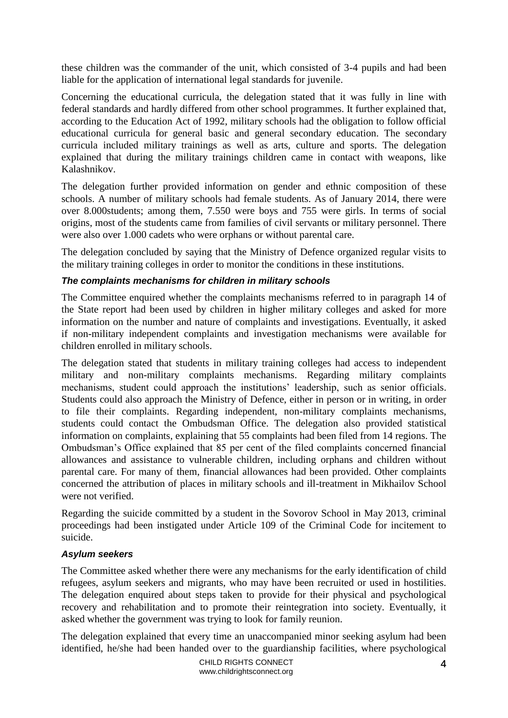these children was the commander of the unit, which consisted of 3-4 pupils and had been liable for the application of international legal standards for juvenile.

Concerning the educational curricula, the delegation stated that it was fully in line with federal standards and hardly differed from other school programmes. It further explained that, according to the Education Act of 1992, military schools had the obligation to follow official educational curricula for general basic and general secondary education. The secondary curricula included military trainings as well as arts, culture and sports. The delegation explained that during the military trainings children came in contact with weapons, like Kalashnikov.

The delegation further provided information on gender and ethnic composition of these schools. A number of military schools had female students. As of January 2014, there were over 8.000students; among them, 7.550 were boys and 755 were girls. In terms of social origins, most of the students came from families of civil servants or military personnel. There were also over 1.000 cadets who were orphans or without parental care.

The delegation concluded by saying that the Ministry of Defence organized regular visits to the military training colleges in order to monitor the conditions in these institutions.

#### *The complaints mechanisms for children in military schools*

The Committee enquired whether the complaints mechanisms referred to in paragraph 14 of the State report had been used by children in higher military colleges and asked for more information on the number and nature of complaints and investigations. Eventually, it asked if non-military independent complaints and investigation mechanisms were available for children enrolled in military schools.

The delegation stated that students in military training colleges had access to independent military and non-military complaints mechanisms. Regarding military complaints mechanisms, student could approach the institutions' leadership, such as senior officials. Students could also approach the Ministry of Defence, either in person or in writing, in order to file their complaints. Regarding independent, non-military complaints mechanisms, students could contact the Ombudsman Office. The delegation also provided statistical information on complaints, explaining that 55 complaints had been filed from 14 regions. The Ombudsman's Office explained that 85 per cent of the filed complaints concerned financial allowances and assistance to vulnerable children, including orphans and children without parental care. For many of them, financial allowances had been provided. Other complaints concerned the attribution of places in military schools and ill-treatment in Mikhailov School were not verified.

Regarding the suicide committed by a student in the Sovorov School in May 2013, criminal proceedings had been instigated under Article 109 of the Criminal Code for incitement to suicide.

#### *Asylum seekers*

The Committee asked whether there were any mechanisms for the early identification of child refugees, asylum seekers and migrants, who may have been recruited or used in hostilities. The delegation enquired about steps taken to provide for their physical and psychological recovery and rehabilitation and to promote their reintegration into society. Eventually, it asked whether the government was trying to look for family reunion.

The delegation explained that every time an unaccompanied minor seeking asylum had been identified, he/she had been handed over to the guardianship facilities, where psychological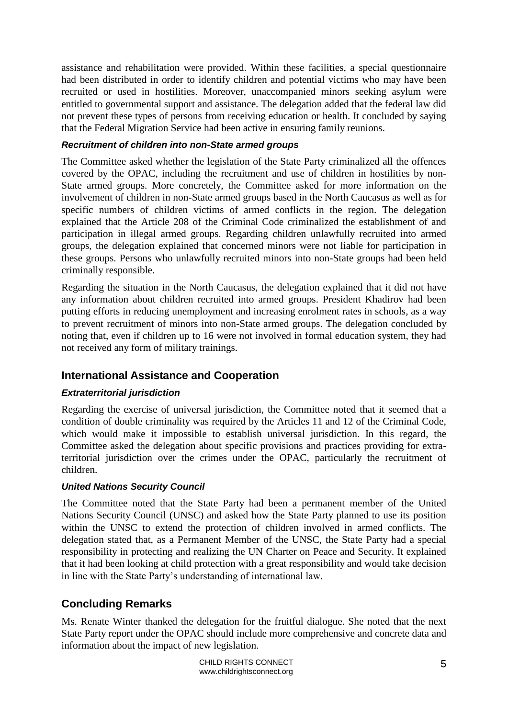assistance and rehabilitation were provided. Within these facilities, a special questionnaire had been distributed in order to identify children and potential victims who may have been recruited or used in hostilities. Moreover, unaccompanied minors seeking asylum were entitled to governmental support and assistance. The delegation added that the federal law did not prevent these types of persons from receiving education or health. It concluded by saying that the Federal Migration Service had been active in ensuring family reunions.

#### *Recruitment of children into non-State armed groups*

The Committee asked whether the legislation of the State Party criminalized all the offences covered by the OPAC, including the recruitment and use of children in hostilities by non-State armed groups. More concretely, the Committee asked for more information on the involvement of children in non-State armed groups based in the North Caucasus as well as for specific numbers of children victims of armed conflicts in the region. The delegation explained that the Article 208 of the Criminal Code criminalized the establishment of and participation in illegal armed groups. Regarding children unlawfully recruited into armed groups, the delegation explained that concerned minors were not liable for participation in these groups. Persons who unlawfully recruited minors into non-State groups had been held criminally responsible.

Regarding the situation in the North Caucasus, the delegation explained that it did not have any information about children recruited into armed groups. President Khadirov had been putting efforts in reducing unemployment and increasing enrolment rates in schools, as a way to prevent recruitment of minors into non-State armed groups. The delegation concluded by noting that, even if children up to 16 were not involved in formal education system, they had not received any form of military trainings.

## <span id="page-4-0"></span>**International Assistance and Cooperation**

#### *Extraterritorial jurisdiction*

Regarding the exercise of universal jurisdiction, the Committee noted that it seemed that a condition of double criminality was required by the Articles 11 and 12 of the Criminal Code, which would make it impossible to establish universal jurisdiction. In this regard, the Committee asked the delegation about specific provisions and practices providing for extraterritorial jurisdiction over the crimes under the OPAC, particularly the recruitment of children.

#### *United Nations Security Council*

The Committee noted that the State Party had been a permanent member of the United Nations Security Council (UNSC) and asked how the State Party planned to use its position within the UNSC to extend the protection of children involved in armed conflicts. The delegation stated that, as a Permanent Member of the UNSC, the State Party had a special responsibility in protecting and realizing the UN Charter on Peace and Security. It explained that it had been looking at child protection with a great responsibility and would take decision in line with the State Party's understanding of international law.

# <span id="page-4-1"></span>**Concluding Remarks**

Ms. Renate Winter thanked the delegation for the fruitful dialogue. She noted that the next State Party report under the OPAC should include more comprehensive and concrete data and information about the impact of new legislation.